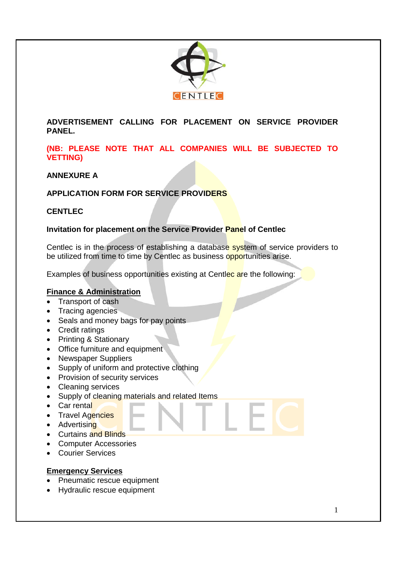

**ADVERTISEMENT CALLING FOR PLACEMENT ON SERVICE PROVIDER PANEL.**

#### **(NB: PLEASE NOTE THAT ALL COMPANIES WILL BE SUBJECTED TO VETTING)**

#### **ANNEXURE A**

# **APPLICATION FORM FOR SERVICE PROVIDERS**

#### **CENTLEC**

#### **Invitation for placement on the Service Provider Panel of Centlec**

Centlec is in the process of establishing a database system of service providers to be utilized from time to time by Centlec as business opportunities arise.

Examples of business opportunities existing at Centlec are the following:

# **Finance & Administration**

- Transport of cash
- Tracing agencies
- Seals and money bags for pay points
- Credit ratings
- Printing & Stationary
- Office furniture and equipment
- Newspaper Suppliers
- Supply of uniform and protective clothing
- Provision of security services
- Cleaning services
- Supply of cleaning materials and related Items
- Car rental
- Travel Agencies
- Advertising
- Curtains and Blinds
- Computer Accessories
- Courier Services

#### **Emergency Services**

- Pneumatic rescue equipment
- Hydraulic rescue equipment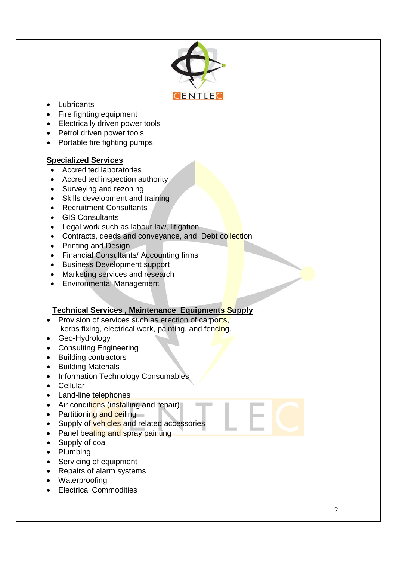

- Lubricants
- Fire fighting equipment
- Electrically driven power tools
- Petrol driven power tools
- Portable fire fighting pumps

#### **Specialized Services**

- Accredited laboratories
- Accredited inspection authority
- Surveying and rezoning
- Skills development and training
- Recruitment Consultants
- GIS Consultants
- Legal work such as labour law, litigation
- Contracts, deeds and conveyance, and Debt collection
- Printing and Design
- Financial Consultants/ Accounting firms
- Business Development support
- Marketing services and research
- Environmental Management

#### **Technical Services , Maintenance Equipments Supply**

- Provision of services such as erection of carports, kerbs fixing, electrical work, painting, and fencing.
- Geo-Hydrology
- Consulting Engineering
- Building contractors
- Building Materials
- Information Technology Consumables
- Cellular
- Land-line telephones
- Air conditions (installing and repair)
- Partitioning and ceiling
- Supply of vehicles and related accessories
- Panel beating and spray painting
- Supply of coal
- Plumbing
- Servicing of equipment
- Repairs of alarm systems
- Waterproofing
- Electrical Commodities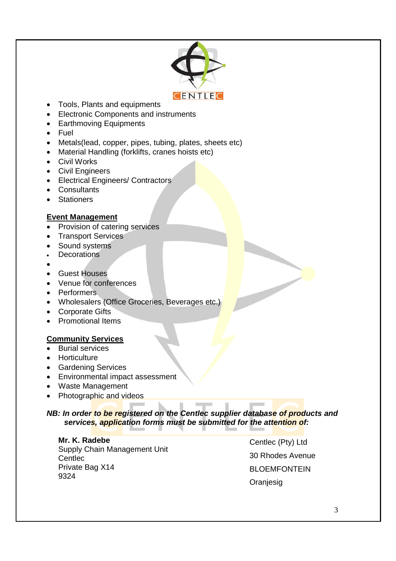

- Tools, Plants and equipments
- Electronic Components and instruments
- Earthmoving Equipments
- Fuel
- Metals(lead, copper, pipes, tubing, plates, sheets etc)
- Material Handling (forklifts, cranes hoists etc)
- Civil Works
- Civil Engineers
- Electrical Engineers/ Contractors
- Consultants
- Stationers

#### **Event Management**

- Provision of catering services
- Transport Services
- Sound systems
- **Decorations**
- $\bullet$
- Guest Houses
- Venue for conferences
- Performers
- Wholesalers (Office Groceries, Beverages etc.)
- Corporate Gifts
- Promotional Items

#### **Community Services**

- Burial services
- Horticulture
- Gardening Services
- Environmental impact assessment
- Waste Management
- Photographic and videos

#### *NB: In order to be registered on the Centlec supplier database of products and services, application forms must be submitted for the attention of:*

**Mr. K. Radebe** Supply Chain Management Unit **Centlec** Private Bag X14 9324

Centlec (Pty) Ltd 30 Rhodes Avenue BLOEMFONTEIN **Oranjesig**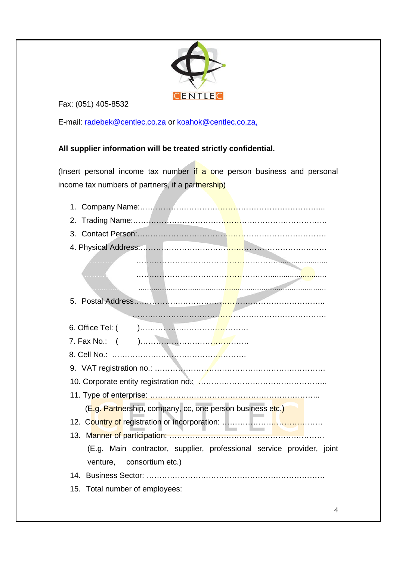

Fax: (051) 405-8532

E-mail: radebek@centlec.co.za or koahok@centlec.co.za,

# **All supplier information will be treated strictly confidential.**

(Insert personal income tax number if a one person business and personal income tax numbers of partners, if a partnership)

| 2.                                                                                                 |  |  |  |  |  |
|----------------------------------------------------------------------------------------------------|--|--|--|--|--|
| 3.                                                                                                 |  |  |  |  |  |
|                                                                                                    |  |  |  |  |  |
| . <i>. .</i>                                                                                       |  |  |  |  |  |
| 5.                                                                                                 |  |  |  |  |  |
|                                                                                                    |  |  |  |  |  |
|                                                                                                    |  |  |  |  |  |
|                                                                                                    |  |  |  |  |  |
|                                                                                                    |  |  |  |  |  |
|                                                                                                    |  |  |  |  |  |
|                                                                                                    |  |  |  |  |  |
|                                                                                                    |  |  |  |  |  |
| (E.g. Partnership, company, cc, one person business etc.)                                          |  |  |  |  |  |
|                                                                                                    |  |  |  |  |  |
|                                                                                                    |  |  |  |  |  |
| (E.g. Main contractor, supplier, professional service provider, joint<br>venture, consortium etc.) |  |  |  |  |  |
|                                                                                                    |  |  |  |  |  |
| 15. Total number of employees:                                                                     |  |  |  |  |  |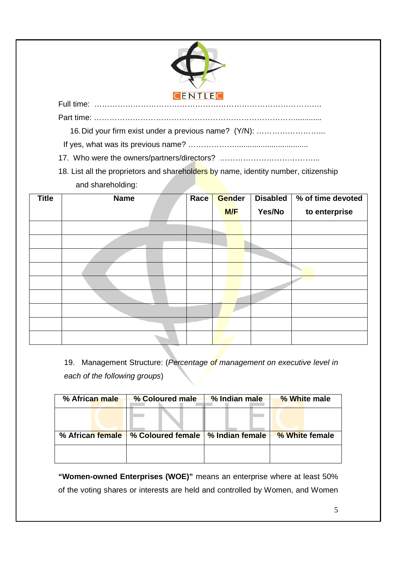

Part time: ……………………………………………………………………............

16.Did your firm exist under a previous name? (Y/N): ……………………...

If yes, what was its previous name? ……………….................................. 17. Who were the owners/partners/directors? ………………………………...

18. List all the proprietors and shareholders by name, identity number, citizenship and shareholding:

| <b>Title</b> | <b>Name</b> | Race | Gender | <b>Disabled</b> | % of time devoted |
|--------------|-------------|------|--------|-----------------|-------------------|
|              |             |      | M/F    | Yes/No          | to enterprise     |
|              |             |      |        |                 |                   |
|              |             |      |        |                 |                   |
|              |             |      |        |                 |                   |
|              |             |      |        |                 |                   |
|              |             |      |        |                 |                   |
|              |             |      |        |                 |                   |
|              |             |      |        |                 |                   |
|              |             |      |        |                 |                   |
|              |             |      |        |                 |                   |

19. Management Structure: (*Percentage of management on executive level in each of the following groups*)

| % African male   | % Coloured male          | % Indian male                 | % White male   |
|------------------|--------------------------|-------------------------------|----------------|
|                  |                          |                               |                |
| % African female | <b>% Coloured female</b> | $\frac{1}{2}$ % Indian female | % White female |
|                  |                          |                               |                |

**"Women-owned Enterprises (WOE)"** means an enterprise where at least 50% of the voting shares or interests are held and controlled by Women, and Women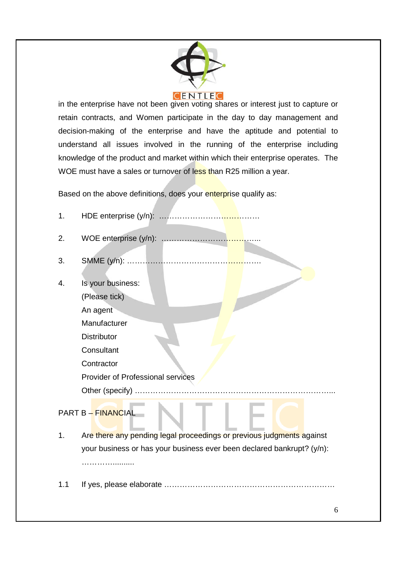

in the enterprise have not been given voting shares or interest just to capture or retain contracts, and Women participate in the day to day management and decision-making of the enterprise and have the aptitude and potential to understand all issues involved in the running of the enterprise including knowledge of the product and market within which their enterprise operates. The WOE must have a sales or turnover of less than R25 million a year.

Based on the above definitions, does your enterprise qualify as:

| 1. |                                          |
|----|------------------------------------------|
| 2. | WOE enterprise (y/n):                    |
| 3. |                                          |
| 4. | Is your business:                        |
|    | (Please tick)                            |
|    | An agent                                 |
|    | Manufacturer                             |
|    | <b>Distributor</b>                       |
|    | Consultant                               |
|    | Contractor                               |
|    | <b>Provider of Professional services</b> |
|    | Other (specify)                          |
|    |                                          |

# PART B – FINANCIAL

- 1. Are there any pending legal proceedings or previous judgments against your business or has your business ever been declared bankrupt? (y/n): …………………
- 1.1 If yes, please elaborate …………………………………………………………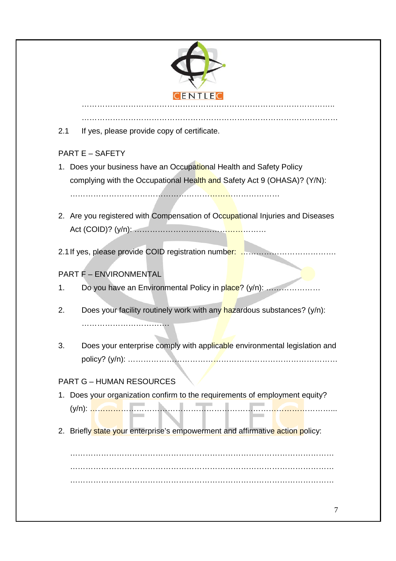

………………………………………………………………………………………

2.1 If yes, please provide copy of certificate.

# PART E – SAFETY

- 1. Does your business have an Occupational Health and Safety Policy complying with the Occupational Health and Safety Act 9 (OHASA)? (Y/N): ………………………………………………………………………
- 2. Are you registered with Compensation of Occupational Injuries and Diseases Act (COID)? (y/n): ……………………………………………

2.1If yes, please provide COID registration number: ……………………………….

# PART F – ENVIRONMENTAL

- 1. Do you have an Environmental Policy in place? (y/n): ........................
- 2. Does your facility routinely work with any hazardous substances?  $(y/n)$ : …………………………….
- 3. Does your enterprise comply with applicable environmental legislation and policy? (y/n): ………………………………………………………………………

# PART G – HUMAN RESOURCES

- 1. Does your organization confirm to the requirements of employment equity? (y/n): …………………………………………………………………………………...
- 2. Briefly state your enterprise's empowerment and affirmative action policy:

………………………………………………………………………………………… …………………………………………………………………………………………  $\mathcal{L}^{\text{max}}$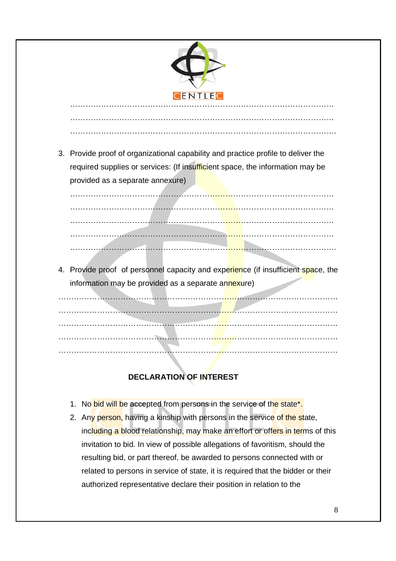

…………………………………………………………………………………………

………………………………………………………………………………………….

3. Provide proof of organizational capability and practice profile to deliver the required supplies or services: (If insufficient space, the information may be provided as a separate annexure)

………………………………………………………………………………………… ………………………………………………………………………………………… ………………………………………………………………………………………… ………………………………………………………………………………………… ………………………………………………………………………………………….

4. Provide proof of personnel capacity and experience (if insufficient space, the information may be provided as a separate annexure)

……………………………………………………………………………………………… ……………………………………………………………………………………………… ……………………………………………………………………………………………… ……………………………………………………………………………………………… ………………………………………………………………………………………………

# **DECLARATION OF INTEREST**

- 1. No bid will be accepted from persons in the service of the state<sup>\*</sup>.
- 2. Any person, having a kinship with persons in the service of the state, including a blood relationship, may make an effort or offers in terms of this invitation to bid. In view of possible allegations of favoritism, should the resulting bid, or part thereof, be awarded to persons connected with or related to persons in service of state, it is required that the bidder or their authorized representative declare their position in relation to the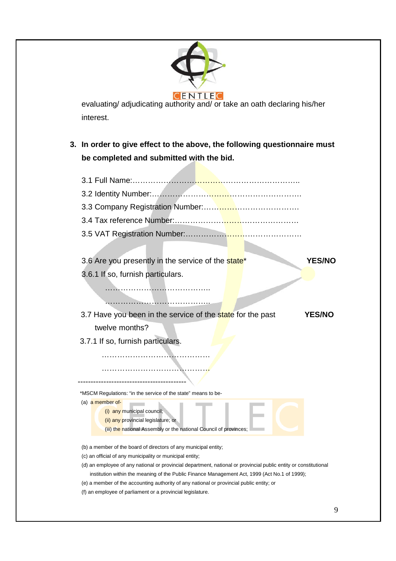

evaluating/ adjudicating authority and/ or take an oath declaring his/her interest.

- **3. In order to give effect to the above, the following questionnaire must be completed and submitted with the bid.**
	- 3.1 Full Name:……………………………………………………….. 3.2 Identity Number:…………………………………………………. 3.3 Company Registration Number:………………………………. 3.4 Tax reference Number:………………………………………… 3.5 VAT Registration Number:……………………………………… 3.6 Are you presently in the service of the state\* **YES/NO** 3.6.1 If so, furnish particulars. ………………………………….. ……………………………………… 3.7 Have you been in the service of the state for the past **YES/NO** twelve months? 3.7.1 If so, furnish particulars. …………………………………… …………………………………… ------------------------------------------ \*MSCM Regulations: "in the service of the state" means to be- (a) a member of- (i) any municipal council; (ii) any provincial legislature; or (iii) the national Assembly or the national Council of provinces; (b) a member of the board of directors of any municipal entity; (c) an official of any municipality or municipal entity; (d) an employee of any national or provincial department, national or provincial public entity or constitutional
	- institution within the meaning of the Public Finance Management Act, 1999 (Act No.1 of 1999);
	- (e) a member of the accounting authority of any national or provincial public entity; or
	- (f) an employee of parliament or a provincial legislature.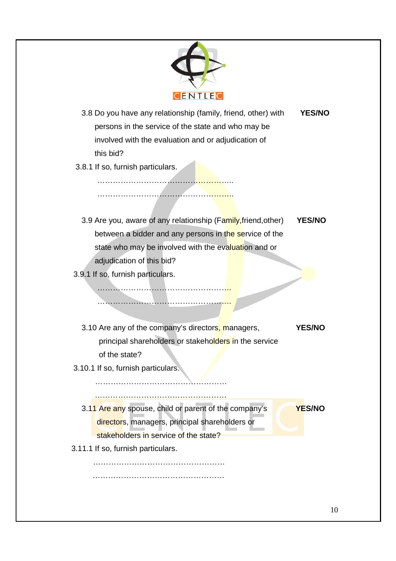

- 3.8 Do you have any relationship (family, friend, other) with **YES/NO** persons in the service of the state and who may be involved with the evaluation and or adjudication of this bid?
- 3.8.1 If so, furnish particulars.

……………………………<mark>…………</mark>……

……………………………………………..

……………………………………<mark>…</mark>

…………………………………………<mark>…</mark>

3.9 Are you, aware of any relationship (Family,friend,other) **YES/NO** between a bidder and any persons in the service of the state who may be involved with the evaluation and or adjudication of this bid?

3.9.1 If so, furnish particulars.

3.10 Are any of the company's directors, managers, **YES/NO** principal shareholders or stakeholders in the service of the state?

3.10.1 If so, furnish particulars.

……………………………………………

…………………………………………………………

- 3.11 Are any spouse, child or parent of the company's **YES/NO** directors, managers, principal shareholders or stakeholders in service of the state?
- 3.11.1 If so, furnish particulars.

…………………………………………… ……………………………………………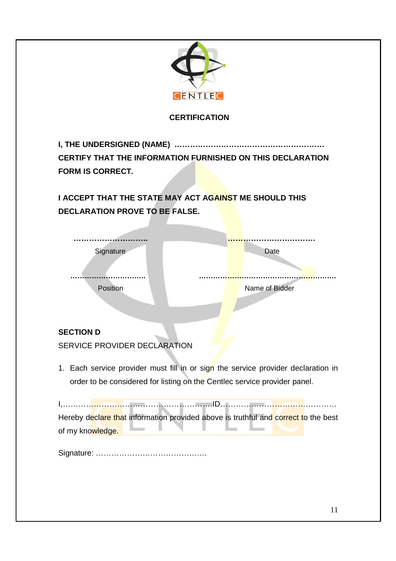

Signature: …………………………………….